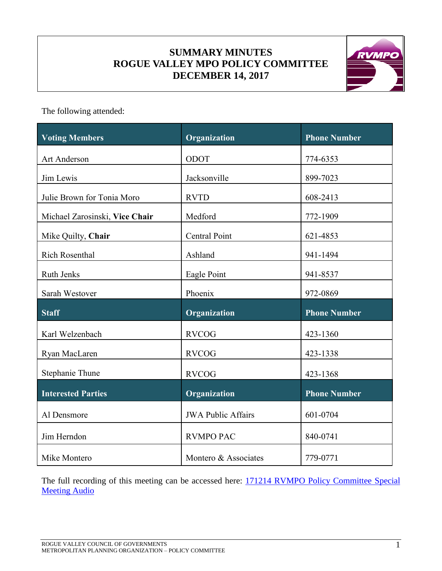# **SUMMARY MINUTES ROGUE VALLEY MPO POLICY COMMITTEE DECEMBER 14, 2017**



The following attended:

| <b>Voting Members</b>          | Organization              | <b>Phone Number</b> |
|--------------------------------|---------------------------|---------------------|
| Art Anderson                   | ODOT                      | 774-6353            |
| Jim Lewis                      | Jacksonville              | 899-7023            |
| Julie Brown for Tonia Moro     | <b>RVTD</b>               | 608-2413            |
| Michael Zarosinski, Vice Chair | Medford                   | 772-1909            |
| Mike Quilty, Chair             | Central Point             | 621-4853            |
| <b>Rich Rosenthal</b>          | Ashland                   | 941-1494            |
| Ruth Jenks                     | Eagle Point               | 941-8537            |
| Sarah Westover                 | Phoenix                   | 972-0869            |
| <b>Staff</b>                   | Organization              | <b>Phone Number</b> |
| Karl Welzenbach                | <b>RVCOG</b>              | 423-1360            |
| Ryan MacLaren                  | <b>RVCOG</b>              | 423-1338            |
| Stephanie Thune                | <b>RVCOG</b>              | 423-1368            |
| <b>Interested Parties</b>      | Organization              | <b>Phone Number</b> |
| Al Densmore                    | <b>JWA Public Affairs</b> | 601-0704            |
| Jim Herndon                    | <b>RVMPO PAC</b>          | 840-0741            |
| Mike Montero                   | Montero & Associates      | 779-0771            |

The full recording of this meeting can be accessed here: 171214 RVMPO Policy Committee Special **[Meeting Audio](https://www.rvmpo.org/images/committees/policy-committee/2017/Audio_Files/2017-12-14_RVMPO%20PolComm_Audio%20File_C%20(mp3cut.net).MP3)**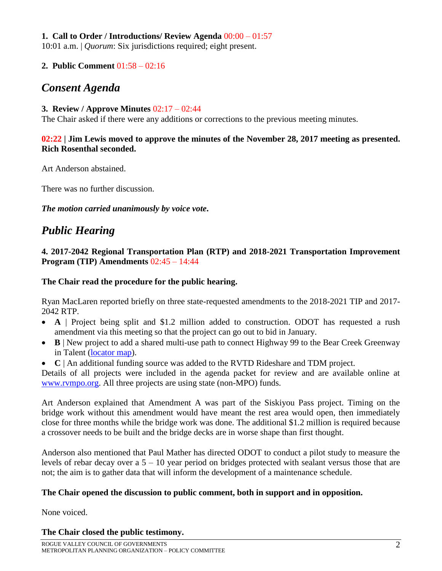### **1. Call to Order / Introductions/ Review Agenda** 00:00 – 01:57

10:01 a.m. | *Quorum*: Six jurisdictions required; eight present.

### **2. Public Comment** 01:58 – 02:16

# *Consent Agenda*

#### **3. Review / Approve Minutes** 02:17 – 02:44

The Chair asked if there were any additions or corrections to the previous meeting minutes.

### **02:22 | Jim Lewis moved to approve the minutes of the November 28, 2017 meeting as presented. Rich Rosenthal seconded.**

Art Anderson abstained.

There was no further discussion.

*The motion carried unanimously by voice vote***.**

# *Public Hearing*

#### **4. 2017-2042 Regional Transportation Plan (RTP) and 2018-2021 Transportation Improvement Program (TIP) Amendments** 02:45 – 14:44

### **The Chair read the procedure for the public hearing.**

Ryan MacLaren reported briefly on three state-requested amendments to the 2018-2021 TIP and 2017- 2042 RTP.

- **A** | Project being split and \$1.2 million added to construction. ODOT has requested a rush amendment via this meeting so that the project can go out to bid in January.
- **B** | New project to add a shared multi-use path to connect Highway 99 to the Bear Creek Greenway in Talent [\(locator map\)](https://www.rvmpo.org/images/committees/policy-committee/2017/Agenda_Packets/2A_2017-12-14RVPolComm_Talent_Bear_Creek_Loc.pdf).
- **C** | An additional funding source was added to the RVTD Rideshare and TDM project.

Details of all projects were included in the agenda packet for review and are available online at [www.rvmpo.org.](http://www.rvmpo.org/) All three projects are using state (non-MPO) funds.

Art Anderson explained that Amendment A was part of the Siskiyou Pass project. Timing on the bridge work without this amendment would have meant the rest area would open, then immediately close for three months while the bridge work was done. The additional \$1.2 million is required because a crossover needs to be built and the bridge decks are in worse shape than first thought.

Anderson also mentioned that Paul Mather has directed ODOT to conduct a pilot study to measure the levels of rebar decay over a 5 – 10 year period on bridges protected with sealant versus those that are not; the aim is to gather data that will inform the development of a maintenance schedule.

### **The Chair opened the discussion to public comment, both in support and in opposition.**

None voiced.

### **The Chair closed the public testimony.**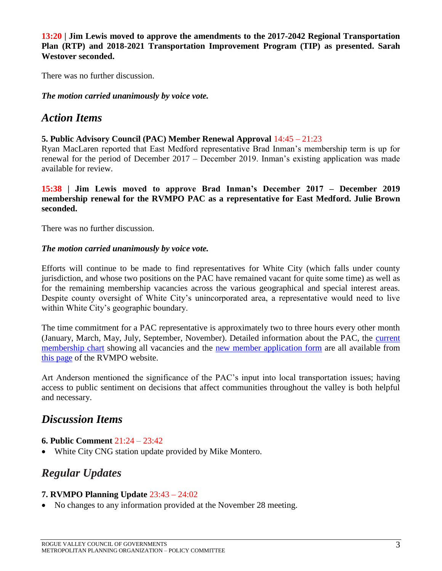**13:20 | Jim Lewis moved to approve the amendments to the 2017-2042 Regional Transportation Plan (RTP) and 2018-2021 Transportation Improvement Program (TIP) as presented. Sarah Westover seconded.** 

There was no further discussion.

*The motion carried unanimously by voice vote.*

### *Action Items*

#### **5. Public Advisory Council (PAC) Member Renewal Approval** 14:45 – 21:23

Ryan MacLaren reported that East Medford representative Brad Inman's membership term is up for renewal for the period of December 2017 – December 2019. Inman's existing application was made available for review.

**15:38 | Jim Lewis moved to approve Brad Inman's December 2017 – December 2019 membership renewal for the RVMPO PAC as a representative for East Medford. Julie Brown seconded.**

There was no further discussion.

#### *The motion carried unanimously by voice vote.*

Efforts will continue to be made to find representatives for White City (which falls under county jurisdiction, and whose two positions on the PAC have remained vacant for quite some time) as well as for the remaining membership vacancies across the various geographical and special interest areas. Despite county oversight of White City's unincorporated area, a representative would need to live within White City's geographic boundary.

The time commitment for a PAC representative is approximately two to three hours every other month (January, March, May, July, September, November). Detailed information about the PAC, the [current](https://www.rvmpo.org/images/committees/public-advisory-council/Membership/180410_PAC_Membership_Chart.pdf)  [membership chart](https://www.rvmpo.org/images/committees/public-advisory-council/Membership/180410_PAC_Membership_Chart.pdf) showing all vacancies and the new member [application form](https://www.rvmpo.org/images/committees/public-advisory-council/Membership/180125_PAC_Application_Form.pdf) are all available from [this page](https://www.rvmpo.org/index.php/committees/ct-menu-item-11) of the RVMPO website.

Art Anderson mentioned the significance of the PAC's input into local transportation issues; having access to public sentiment on decisions that affect communities throughout the valley is both helpful and necessary.

# *Discussion Items*

### **6. Public Comment** 21:24 – 23:42

White City CNG station update provided by Mike Montero.

# *Regular Updates*

### **7. RVMPO Planning Update** 23:43 – 24:02

• No changes to any information provided at the November 28 meeting.